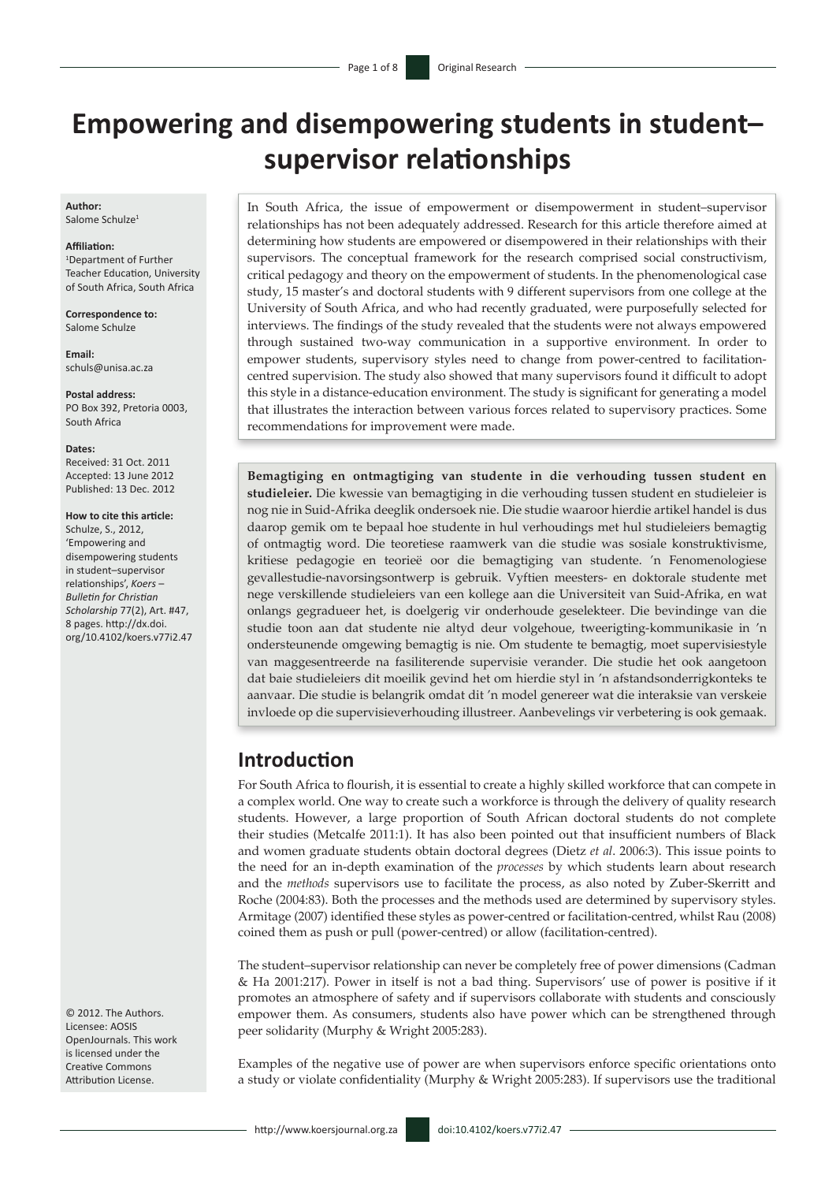# **Empowering and disempowering students in student– supervisor relationships**

**Author:** Salome Schulze<sup>1</sup>

#### **Affiliation:**

1 Department of Further Teacher Education, University of South Africa, South Africa

**Correspondence to:** Salome Schulze

**Email:** [schuls@unisa.ac.za](mailto:schuls@unisa.ac.za)

**Postal address:** PO Box 392, Pretoria 0003, South Africa

#### **Dates:**

Received: 31 Oct. 2011 Accepted: 13 June 2012 Published: 13 Dec. 2012

#### **How to cite this article:**

Schulze, S., 2012, 'Empowering and disempowering students in student–supervisor relationships', *Koers* – *Bulletin for Christian Scholarship* 77(2), Art. #47, 8 pages. [http://dx.doi.](http://dx.doi.org/10.4102/koers.v77i1.47) [org/10.4102/koers.v77i2.47](http://dx.doi.org/10.4102/koers.v77i1.47)

© 2012. The Authors. Licensee: AOSIS OpenJournals. This work is licensed under the Creative Commons Attribution License.

In South Africa, the issue of empowerment or disempowerment in student–supervisor relationships has not been adequately addressed. Research for this article therefore aimed at determining how students are empowered or disempowered in their relationships with their supervisors. The conceptual framework for the research comprised social constructivism, critical pedagogy and theory on the empowerment of students. In the phenomenological case study, 15 master's and doctoral students with 9 different supervisors from one college at the University of South Africa, and who had recently graduated, were purposefully selected for interviews. The findings of the study revealed that the students were not always empowered through sustained two-way communication in a supportive environment. In order to empower students, supervisory styles need to change from power-centred to facilitationcentred supervision. The study also showed that many supervisors found it difficult to adopt this style in a distance-education environment. The study is significant for generating a model that illustrates the interaction between various forces related to supervisory practices. Some recommendations for improvement were made.

**Bemagtiging en ontmagtiging van studente in die verhouding tussen student en studieleier.** Die kwessie van bemagtiging in die verhouding tussen student en studieleier is nog nie in Suid-Afrika deeglik ondersoek nie. Die studie waaroor hierdie artikel handel is dus daarop gemik om te bepaal hoe studente in hul verhoudings met hul studieleiers bemagtig of ontmagtig word. Die teoretiese raamwerk van die studie was sosiale konstruktivisme, kritiese pedagogie en teorieë oor die bemagtiging van studente. 'n Fenomenologiese gevallestudie-navorsingsontwerp is gebruik. Vyftien meesters- en doktorale studente met nege verskillende studieleiers van een kollege aan die Universiteit van Suid-Afrika, en wat onlangs gegradueer het, is doelgerig vir onderhoude geselekteer. Die bevindinge van die studie toon aan dat studente nie altyd deur volgehoue, tweerigting-kommunikasie in 'n ondersteunende omgewing bemagtig is nie. Om studente te bemagtig, moet supervisiestyle van maggesentreerde na fasiliterende supervisie verander. Die studie het ook aangetoon dat baie studieleiers dit moeilik gevind het om hierdie styl in 'n afstandsonderrigkonteks te aanvaar. Die studie is belangrik omdat dit 'n model genereer wat die interaksie van verskeie invloede op die supervisieverhouding illustreer. Aanbevelings vir verbetering is ook gemaak.

# **Introduction**

For South Africa to flourish, it is essential to create a highly skilled workforce that can compete in a complex world. One way to create such a workforce is through the delivery of quality research students. However, a large proportion of South African doctoral students do not complete their studies (Metcalfe 2011:1). It has also been pointed out that insufficient numbers of Black and women graduate students obtain doctoral degrees (Dietz *et al*. 2006:3). This issue points to the need for an in-depth examination of the *processes* by which students learn about research and the *methods* supervisors use to facilitate the process, as also noted by Zuber-Skerritt and Roche (2004:83). Both the processes and the methods used are determined by supervisory styles. Armitage (2007) identified these styles as power-centred or facilitation-centred, whilst Rau (2008) coined them as push or pull (power-centred) or allow (facilitation-centred).

The student–supervisor relationship can never be completely free of power dimensions (Cadman & Ha 2001:217). Power in itself is not a bad thing. Supervisors' use of power is positive if it promotes an atmosphere of safety and if supervisors collaborate with students and consciously empower them. As consumers, students also have power which can be strengthened through peer solidarity (Murphy & Wright 2005:283).

Examples of the negative use of power are when supervisors enforce specific orientations onto a study or violate confidentiality (Murphy & Wright 2005:283). If supervisors use the traditional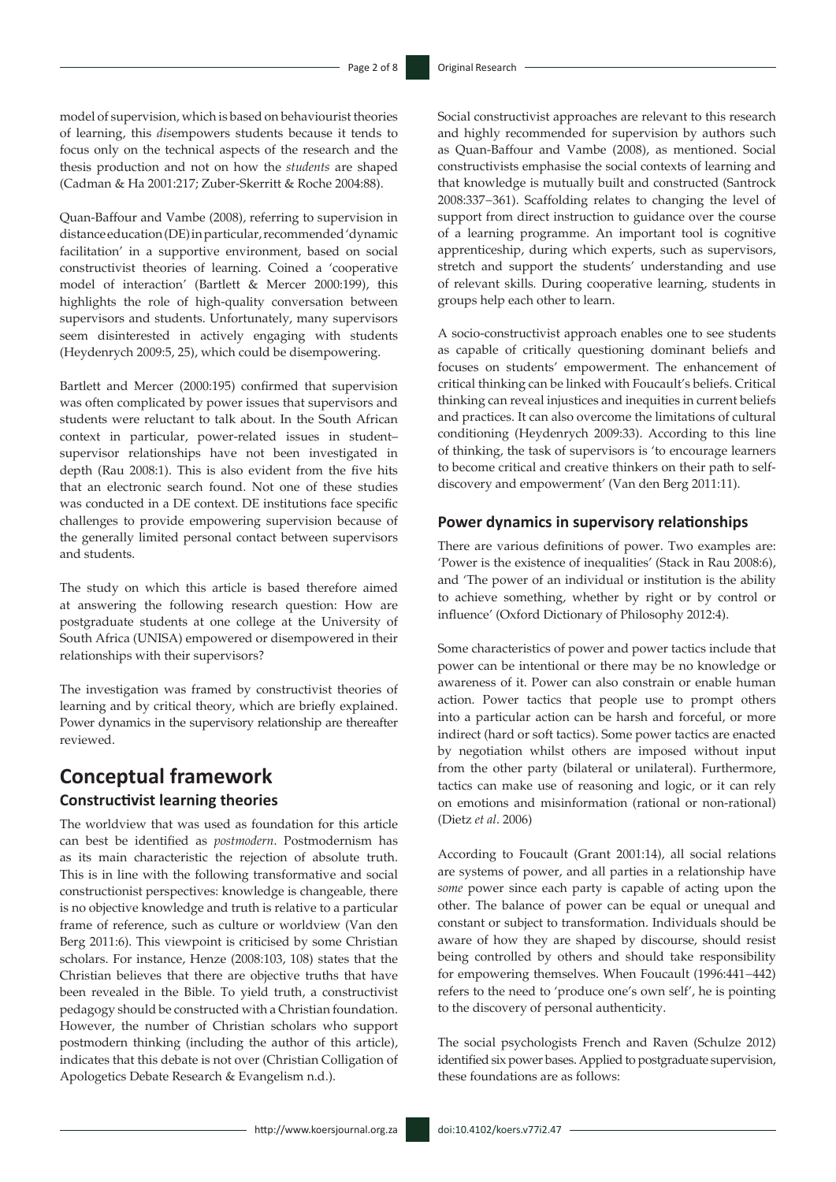model of supervision, which is based on behaviourist theories of learning, this *dis*empowers students because it tends to focus only on the technical aspects of the research and the thesis production and not on how the *students* are shaped (Cadman & Ha 2001:217; Zuber-Skerritt & Roche 2004:88).

Quan-Baffour and Vambe (2008), referring to supervision in distance education (DE) in particular, recommended 'dynamic facilitation' in a supportive environment, based on social constructivist theories of learning. Coined a 'cooperative model of interaction' (Bartlett & Mercer 2000:199), this highlights the role of high-quality conversation between supervisors and students. Unfortunately, many supervisors seem disinterested in actively engaging with students (Heydenrych 2009:5, 25), which could be disempowering.

Bartlett and Mercer (2000:195) confirmed that supervision was often complicated by power issues that supervisors and students were reluctant to talk about. In the South African context in particular, power-related issues in student– supervisor relationships have not been investigated in depth (Rau 2008:1). This is also evident from the five hits that an electronic search found. Not one of these studies was conducted in a DE context. DE institutions face specific challenges to provide empowering supervision because of the generally limited personal contact between supervisors and students.

The study on which this article is based therefore aimed at answering the following research question: How are postgraduate students at one college at the University of South Africa (UNISA) empowered or disempowered in their relationships with their supervisors?

The investigation was framed by constructivist theories of learning and by critical theory, which are briefly explained. Power dynamics in the supervisory relationship are thereafter reviewed.

# **Conceptual framework**

#### **Constructivist learning theories**

The worldview that was used as foundation for this article can best be identified as *postmodern*. Postmodernism has as its main characteristic the rejection of absolute truth. This is in line with the following transformative and social constructionist perspectives: knowledge is changeable, there is no objective knowledge and truth is relative to a particular frame of reference, such as culture or worldview (Van den Berg 2011:6). This viewpoint is criticised by some Christian scholars. For instance, Henze (2008:103, 108) states that the Christian believes that there are objective truths that have been revealed in the Bible. To yield truth, a constructivist pedagogy should be constructed with a Christian foundation. However, the number of Christian scholars who support postmodern thinking (including the author of this article), indicates that this debate is not over (Christian Colligation of Apologetics Debate Research & Evangelism n.d.).

Social constructivist approaches are relevant to this research and highly recommended for supervision by authors such as Quan-Baffour and Vambe (2008), as mentioned. Social constructivists emphasise the social contexts of learning and that knowledge is mutually built and constructed (Santrock 2008:337−361). Scaffolding relates to changing the level of support from direct instruction to guidance over the course of a learning programme. An important tool is cognitive apprenticeship, during which experts, such as supervisors, stretch and support the students' understanding and use of relevant skills*.* During cooperative learning, students in groups help each other to learn.

A socio-constructivist approach enables one to see students as capable of critically questioning dominant beliefs and focuses on students' empowerment. The enhancement of critical thinking can be linked with Foucault's beliefs. Critical thinking can reveal injustices and inequities in current beliefs and practices. It can also overcome the limitations of cultural conditioning (Heydenrych 2009:33). According to this line of thinking, the task of supervisors is 'to encourage learners to become critical and creative thinkers on their path to selfdiscovery and empowerment' (Van den Berg 2011:11).

#### **Power dynamics in supervisory relationships**

There are various definitions of power. Two examples are: 'Power is the existence of inequalities' (Stack in Rau 2008:6), and 'The power of an individual or institution is the ability to achieve something, whether by right or by control or influence' (Oxford Dictionary of Philosophy 2012:4).

Some characteristics of power and power tactics include that power can be intentional or there may be no knowledge or awareness of it. Power can also constrain or enable human action. Power tactics that people use to prompt others into a particular action can be harsh and forceful, or more indirect (hard or soft tactics). Some power tactics are enacted by negotiation whilst others are imposed without input from the other party (bilateral or unilateral). Furthermore, tactics can make use of reasoning and logic, or it can rely on emotions and misinformation (rational or non-rational) (Dietz *et al*. 2006)

According to Foucault (Grant 2001:14), all social relations are systems of power, and all parties in a relationship have *some* power since each party is capable of acting upon the other. The balance of power can be equal or unequal and constant or subject to transformation. Individuals should be aware of how they are shaped by discourse, should resist being controlled by others and should take responsibility for empowering themselves. When Foucault (1996:441−442) refers to the need to 'produce one's own self', he is pointing to the discovery of personal authenticity.

The social psychologists French and Raven (Schulze 2012) identified six power bases. Applied to postgraduate supervision, these foundations are as follows: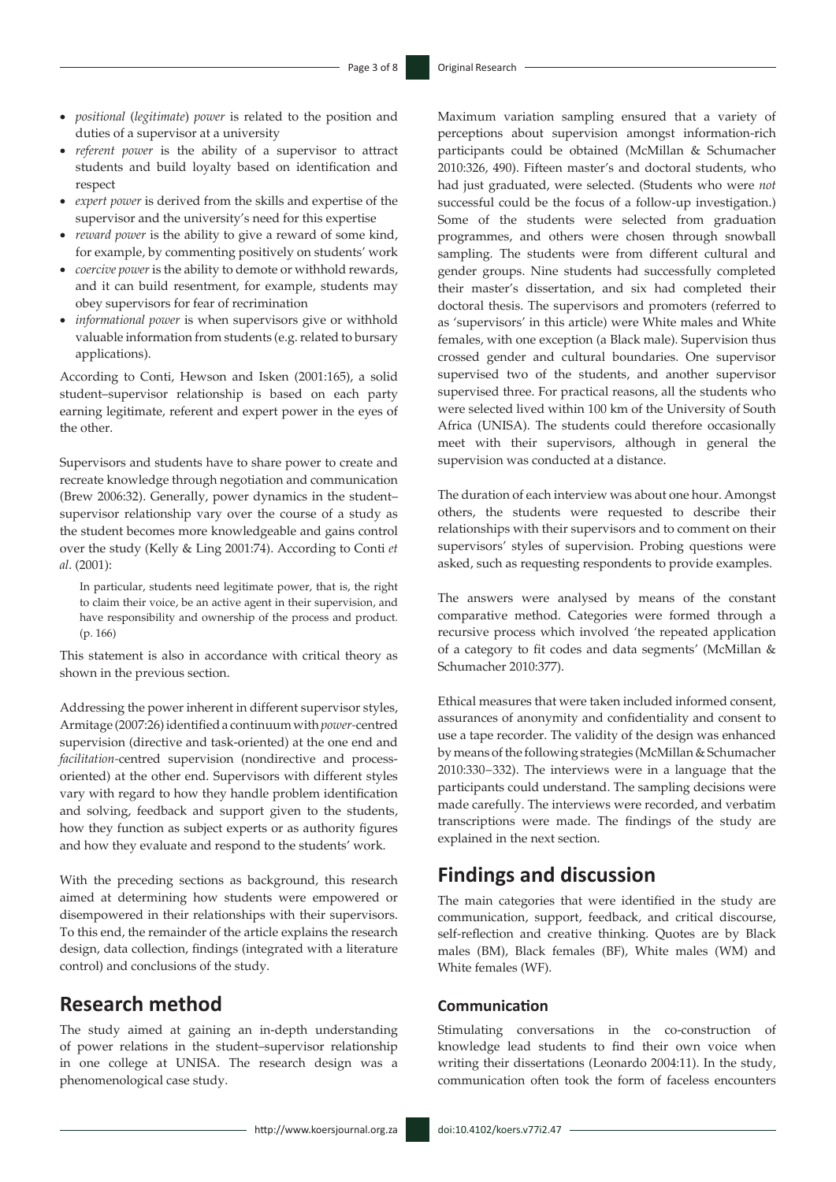- • *positional* (*legitimate*) *power* is related to the position and duties of a supervisor at a university
- • *referent power* is the ability of a supervisor to attract students and build loyalty based on identification and respect
- • *expert power* is derived from the skills and expertise of the supervisor and the university's need for this expertise
- *reward power* is the ability to give a reward of some kind, for example, by commenting positively on students' work
- • *coercive power* is the ability to demote or withhold rewards, and it can build resentment, for example, students may obey supervisors for fear of recrimination
- • *informational power* is when supervisors give or withhold valuable information from students (e.g. related to bursary applications).

According to Conti, Hewson and Isken (2001:165), a solid student–supervisor relationship is based on each party earning legitimate, referent and expert power in the eyes of the other.

Supervisors and students have to share power to create and recreate knowledge through negotiation and communication (Brew 2006:32). Generally, power dynamics in the student– supervisor relationship vary over the course of a study as the student becomes more knowledgeable and gains control over the study (Kelly & Ling 2001:74). According to Conti *et al*. (2001):

In particular, students need legitimate power, that is, the right to claim their voice, be an active agent in their supervision, and have responsibility and ownership of the process and product. (p. 166)

This statement is also in accordance with critical theory as shown in the previous section.

Addressing the power inherent in different supervisor styles, Armitage (2007:26) identified a continuum with *power-*centred supervision (directive and task-oriented) at the one end and *facilitation-*centred supervision (nondirective and processoriented) at the other end. Supervisors with different styles vary with regard to how they handle problem identification and solving, feedback and support given to the students, how they function as subject experts or as authority figures and how they evaluate and respond to the students' work.

With the preceding sections as background, this research aimed at determining how students were empowered or disempowered in their relationships with their supervisors. To this end, the remainder of the article explains the research design, data collection, findings (integrated with a literature control) and conclusions of the study.

## **Research method**

The study aimed at gaining an in-depth understanding of power relations in the student–supervisor relationship in one college at UNISA. The research design was a phenomenological case study.

Maximum variation sampling ensured that a variety of perceptions about supervision amongst information-rich participants could be obtained (McMillan & Schumacher 2010:326, 490). Fifteen master's and doctoral students, who had just graduated, were selected. (Students who were *not* successful could be the focus of a follow-up investigation.) Some of the students were selected from graduation programmes, and others were chosen through snowball sampling. The students were from different cultural and gender groups. Nine students had successfully completed their master's dissertation, and six had completed their doctoral thesis. The supervisors and promoters (referred to as 'supervisors' in this article) were White males and White females, with one exception (a Black male). Supervision thus crossed gender and cultural boundaries. One supervisor supervised two of the students, and another supervisor supervised three. For practical reasons, all the students who were selected lived within 100 km of the University of South Africa (UNISA). The students could therefore occasionally meet with their supervisors, although in general the supervision was conducted at a distance.

The duration of each interview was about one hour. Amongst others, the students were requested to describe their relationships with their supervisors and to comment on their supervisors' styles of supervision. Probing questions were asked, such as requesting respondents to provide examples.

The answers were analysed by means of the constant comparative method. Categories were formed through a recursive process which involved 'the repeated application of a category to fit codes and data segments' (McMillan & Schumacher 2010:377).

Ethical measures that were taken included informed consent, assurances of anonymity and confidentiality and consent to use a tape recorder. The validity of the design was enhanced by means of the following strategies (McMillan & Schumacher 2010:330−332). The interviews were in a language that the participants could understand. The sampling decisions were made carefully. The interviews were recorded, and verbatim transcriptions were made. The findings of the study are explained in the next section.

# **Findings and discussion**

The main categories that were identified in the study are communication, support, feedback, and critical discourse, self-reflection and creative thinking. Quotes are by Black males (BM), Black females (BF), White males (WM) and White females (WF).

#### **Communication**

Stimulating conversations in the co-construction of knowledge lead students to find their own voice when writing their dissertations (Leonardo 2004:11). In the study, communication often took the form of faceless encounters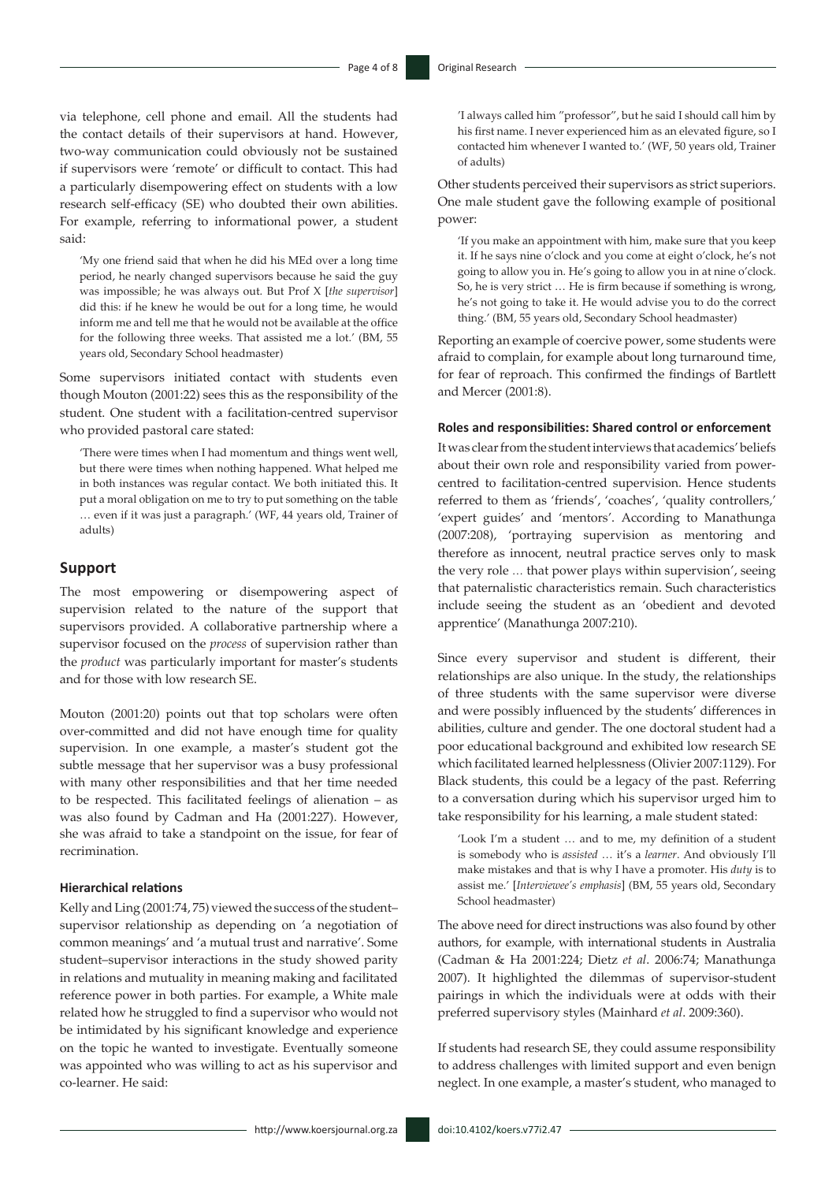via telephone, cell phone and email. All the students had the contact details of their supervisors at hand. However, two-way communication could obviously not be sustained if supervisors were 'remote' or difficult to contact. This had a particularly disempowering effect on students with a low research self-efficacy (SE) who doubted their own abilities. For example, referring to informational power, a student said:

'My one friend said that when he did his MEd over a long time period, he nearly changed supervisors because he said the guy was impossible; he was always out. But Prof X [*the supervisor*] did this: if he knew he would be out for a long time, he would inform me and tell me that he would not be available at the office for the following three weeks. That assisted me a lot.' (BM, 55 years old, Secondary School headmaster)

Some supervisors initiated contact with students even though Mouton (2001:22) sees this as the responsibility of the student. One student with a facilitation-centred supervisor who provided pastoral care stated:

'There were times when I had momentum and things went well, but there were times when nothing happened. What helped me in both instances was regular contact. We both initiated this. It put a moral obligation on me to try to put something on the table … even if it was just a paragraph.' (WF, 44 years old, Trainer of adults)

#### **Support**

The most empowering or disempowering aspect of supervision related to the nature of the support that supervisors provided. A collaborative partnership where a supervisor focused on the *process* of supervision rather than the *product* was particularly important for master's students and for those with low research SE.

Mouton (2001:20) points out that top scholars were often over-committed and did not have enough time for quality supervision. In one example, a master's student got the subtle message that her supervisor was a busy professional with many other responsibilities and that her time needed to be respected. This facilitated feelings of alienation – as was also found by Cadman and Ha (2001:227). However, she was afraid to take a standpoint on the issue, for fear of recrimination.

#### **Hierarchical relations**

Kelly and Ling (2001:74, 75) viewed the success of the student– supervisor relationship as depending on 'a negotiation of common meanings' and 'a mutual trust and narrative'. Some student–supervisor interactions in the study showed parity in relations and mutuality in meaning making and facilitated reference power in both parties. For example, a White male related how he struggled to find a supervisor who would not be intimidated by his significant knowledge and experience on the topic he wanted to investigate. Eventually someone was appointed who was willing to act as his supervisor and co-learner. He said:

'I always called him "professor", but he said I should call him by his first name. I never experienced him as an elevated figure, so I contacted him whenever I wanted to.' (WF, 50 years old, Trainer of adults)

Other students perceived their supervisors as strict superiors. One male student gave the following example of positional power:

'If you make an appointment with him, make sure that you keep it. If he says nine o'clock and you come at eight o'clock, he's not going to allow you in. He's going to allow you in at nine o'clock. So, he is very strict … He is firm because if something is wrong, he's not going to take it. He would advise you to do the correct thing.' (BM, 55 years old, Secondary School headmaster)

Reporting an example of coercive power, some students were afraid to complain, for example about long turnaround time, for fear of reproach. This confirmed the findings of Bartlett and Mercer (2001:8).

#### **Roles and responsibilities: Shared control or enforcement**

It was clear from the student interviews that academics' beliefs about their own role and responsibility varied from powercentred to facilitation-centred supervision. Hence students referred to them as 'friends', 'coaches', 'quality controllers,' 'expert guides' and 'mentors'. According to Manathunga (2007:208), 'portraying supervision as mentoring and therefore as innocent, neutral practice serves only to mask the very role … that power plays within supervision', seeing that paternalistic characteristics remain. Such characteristics include seeing the student as an 'obedient and devoted apprentice' (Manathunga 2007:210).

Since every supervisor and student is different, their relationships are also unique. In the study, the relationships of three students with the same supervisor were diverse and were possibly influenced by the students' differences in abilities, culture and gender. The one doctoral student had a poor educational background and exhibited low research SE which facilitated learned helplessness (Olivier 2007:1129). For Black students, this could be a legacy of the past. Referring to a conversation during which his supervisor urged him to take responsibility for his learning, a male student stated:

'Look I'm a student … and to me, my definition of a student is somebody who is *assisted* … it's a *learner*. And obviously I'll make mistakes and that is why I have a promoter. His *duty* is to assist me.' [*Interviewee's emphasis*] (BM, 55 years old, Secondary School headmaster)

The above need for direct instructions was also found by other authors, for example, with international students in Australia (Cadman & Ha 2001:224; Dietz *et al*. 2006:74; Manathunga 2007). It highlighted the dilemmas of supervisor-student pairings in which the individuals were at odds with their preferred supervisory styles (Mainhard *et al*. 2009:360).

If students had research SE, they could assume responsibility to address challenges with limited support and even benign neglect. In one example, a master's student, who managed to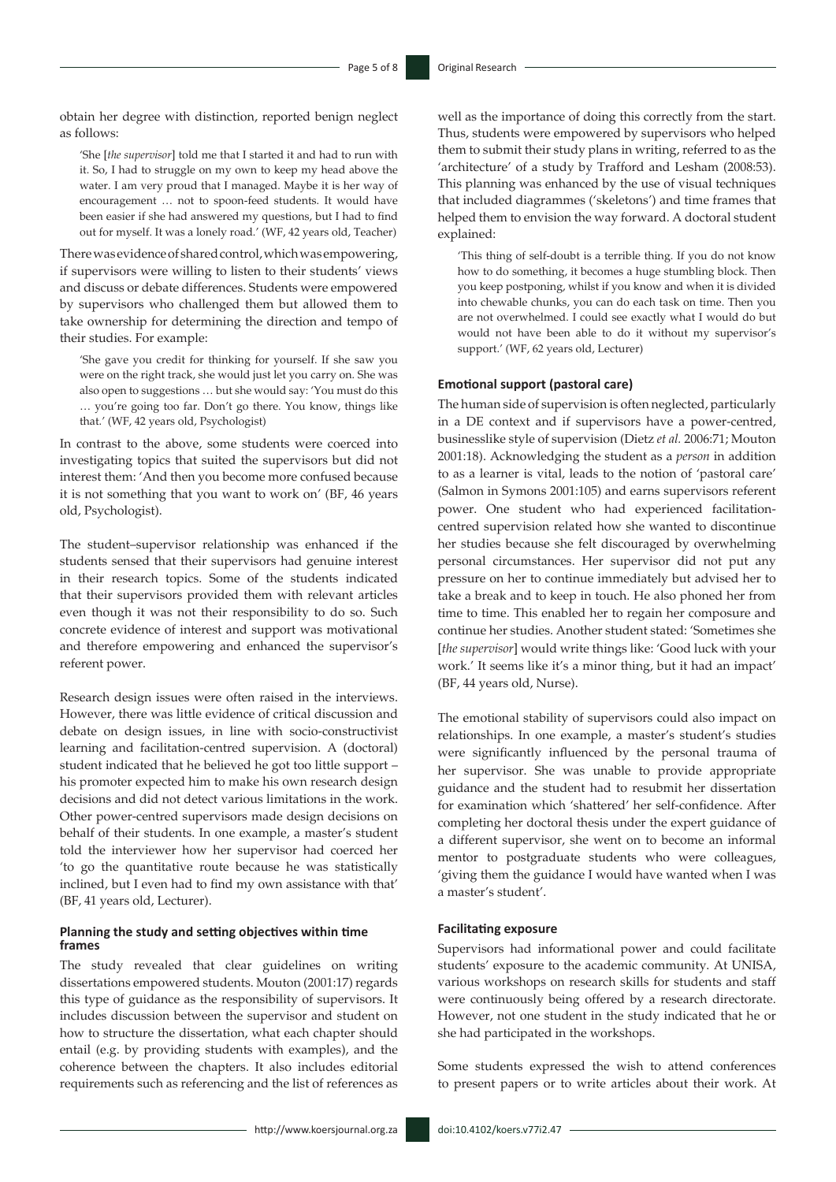obtain her degree with distinction, reported benign neglect as follows:

'She [*the supervisor*] told me that I started it and had to run with it. So, I had to struggle on my own to keep my head above the water. I am very proud that I managed. Maybe it is her way of encouragement … not to spoon-feed students. It would have been easier if she had answered my questions, but I had to find out for myself. It was a lonely road.' (WF, 42 years old, Teacher)

There was evidence of shared control, which was empowering, if supervisors were willing to listen to their students' views and discuss or debate differences. Students were empowered by supervisors who challenged them but allowed them to take ownership for determining the direction and tempo of their studies. For example:

'She gave you credit for thinking for yourself. If she saw you were on the right track, she would just let you carry on. She was also open to suggestions … but she would say: 'You must do this … you're going too far. Don't go there. You know, things like that.' (WF, 42 years old, Psychologist)

In contrast to the above, some students were coerced into investigating topics that suited the supervisors but did not interest them: 'And then you become more confused because it is not something that you want to work on' (BF, 46 years old, Psychologist).

The student–supervisor relationship was enhanced if the students sensed that their supervisors had genuine interest in their research topics. Some of the students indicated that their supervisors provided them with relevant articles even though it was not their responsibility to do so. Such concrete evidence of interest and support was motivational and therefore empowering and enhanced the supervisor's referent power.

Research design issues were often raised in the interviews. However, there was little evidence of critical discussion and debate on design issues, in line with socio-constructivist learning and facilitation-centred supervision. A (doctoral) student indicated that he believed he got too little support – his promoter expected him to make his own research design decisions and did not detect various limitations in the work. Other power-centred supervisors made design decisions on behalf of their students. In one example, a master's student told the interviewer how her supervisor had coerced her 'to go the quantitative route because he was statistically inclined, but I even had to find my own assistance with that' (BF, 41 years old, Lecturer).

#### **Planning the study and setting objectives within time frames**

The study revealed that clear guidelines on writing dissertations empowered students. Mouton (2001:17) regards this type of guidance as the responsibility of supervisors. It includes discussion between the supervisor and student on how to structure the dissertation, what each chapter should entail (e.g. by providing students with examples), and the coherence between the chapters. It also includes editorial requirements such as referencing and the list of references as

well as the importance of doing this correctly from the start. Thus, students were empowered by supervisors who helped them to submit their study plans in writing, referred to as the 'architecture' of a study by Trafford and Lesham (2008:53). This planning was enhanced by the use of visual techniques that included diagrammes ('skeletons') and time frames that helped them to envision the way forward. A doctoral student explained:

'This thing of self-doubt is a terrible thing. If you do not know how to do something, it becomes a huge stumbling block. Then you keep postponing, whilst if you know and when it is divided into chewable chunks, you can do each task on time. Then you are not overwhelmed. I could see exactly what I would do but would not have been able to do it without my supervisor's support.' (WF, 62 years old, Lecturer)

#### **Emotional support (pastoral care)**

The human side of supervision is often neglected, particularly in a DE context and if supervisors have a power-centred, businesslike style of supervision (Dietz *et al.* 2006:71; Mouton 2001:18). Acknowledging the student as a *person* in addition to as a learner is vital, leads to the notion of 'pastoral care' (Salmon in Symons 2001:105) and earns supervisors referent power. One student who had experienced facilitationcentred supervision related how she wanted to discontinue her studies because she felt discouraged by overwhelming personal circumstances. Her supervisor did not put any pressure on her to continue immediately but advised her to take a break and to keep in touch. He also phoned her from time to time. This enabled her to regain her composure and continue her studies. Another student stated: 'Sometimes she [*the supervisor*] would write things like: 'Good luck with your work.' It seems like it's a minor thing, but it had an impact' (BF, 44 years old, Nurse).

The emotional stability of supervisors could also impact on relationships. In one example, a master's student's studies were significantly influenced by the personal trauma of her supervisor. She was unable to provide appropriate guidance and the student had to resubmit her dissertation for examination which 'shattered' her self-confidence. After completing her doctoral thesis under the expert guidance of a different supervisor, she went on to become an informal mentor to postgraduate students who were colleagues, 'giving them the guidance I would have wanted when I was a master's student'.

#### **Facilitating exposure**

Supervisors had informational power and could facilitate students' exposure to the academic community. At UNISA, various workshops on research skills for students and staff were continuously being offered by a research directorate. However, not one student in the study indicated that he or she had participated in the workshops.

Some students expressed the wish to attend conferences to present papers or to write articles about their work. At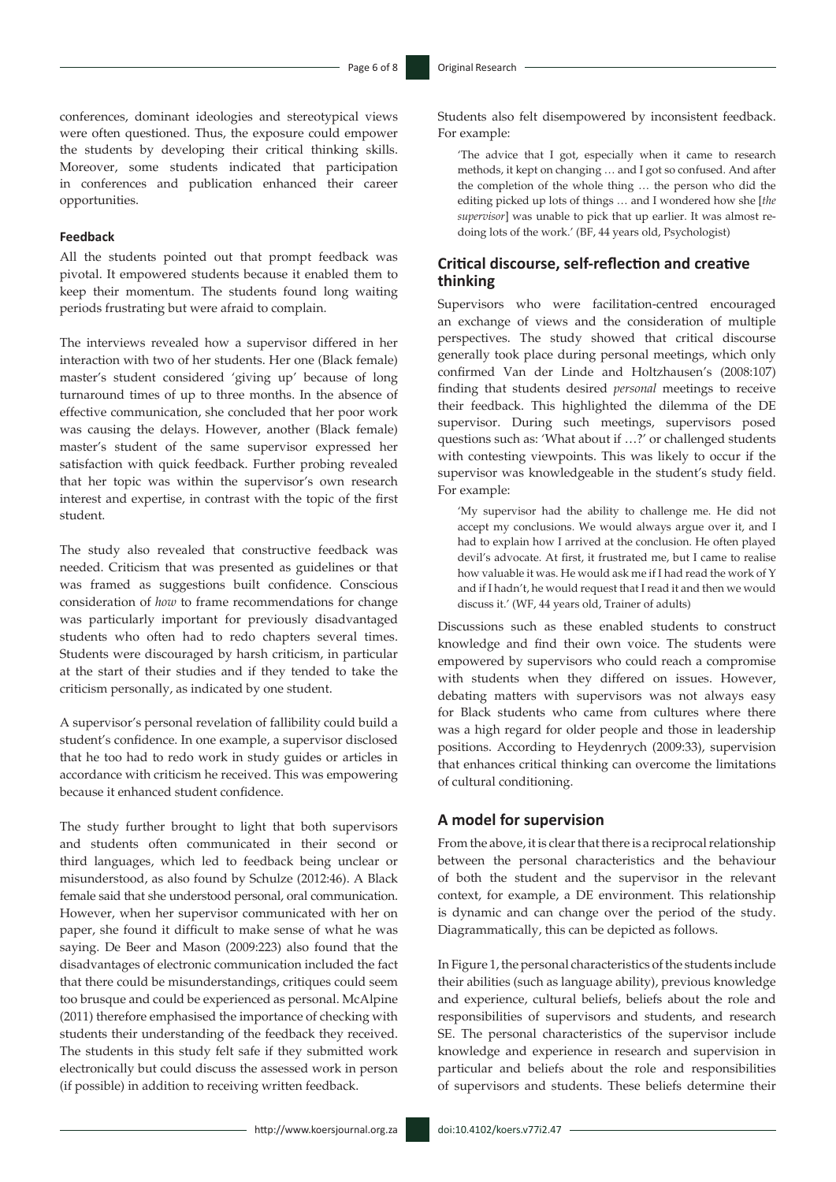conferences, dominant ideologies and stereotypical views were often questioned. Thus, the exposure could empower the students by developing their critical thinking skills. Moreover, some students indicated that participation in conferences and publication enhanced their career opportunities.

#### **Feedback**

All the students pointed out that prompt feedback was pivotal. It empowered students because it enabled them to keep their momentum. The students found long waiting periods frustrating but were afraid to complain.

The interviews revealed how a supervisor differed in her interaction with two of her students. Her one (Black female) master's student considered 'giving up' because of long turnaround times of up to three months. In the absence of effective communication, she concluded that her poor work was causing the delays. However, another (Black female) master's student of the same supervisor expressed her satisfaction with quick feedback. Further probing revealed that her topic was within the supervisor's own research interest and expertise, in contrast with the topic of the first student.

The study also revealed that constructive feedback was needed. Criticism that was presented as guidelines or that was framed as suggestions built confidence. Conscious consideration of *how* to frame recommendations for change was particularly important for previously disadvantaged students who often had to redo chapters several times. Students were discouraged by harsh criticism, in particular at the start of their studies and if they tended to take the criticism personally, as indicated by one student.

A supervisor's personal revelation of fallibility could build a student's confidence. In one example, a supervisor disclosed that he too had to redo work in study guides or articles in accordance with criticism he received. This was empowering because it enhanced student confidence.

The study further brought to light that both supervisors and students often communicated in their second or third languages, which led to feedback being unclear or misunderstood, as also found by Schulze (2012:46). A Black female said that she understood personal, oral communication. However, when her supervisor communicated with her on paper, she found it difficult to make sense of what he was saying. De Beer and Mason (2009:223) also found that the disadvantages of electronic communication included the fact that there could be misunderstandings, critiques could seem too brusque and could be experienced as personal. McAlpine (2011) therefore emphasised the importance of checking with students their understanding of the feedback they received. The students in this study felt safe if they submitted work electronically but could discuss the assessed work in person (if possible) in addition to receiving written feedback.

Students also felt disempowered by inconsistent feedback. For example:

'The advice that I got, especially when it came to research methods, it kept on changing … and I got so confused. And after the completion of the whole thing … the person who did the editing picked up lots of things … and I wondered how she [*the supervisor*] was unable to pick that up earlier. It was almost redoing lots of the work.' (BF, 44 years old, Psychologist)

#### **Critical discourse, self-reflection and creative thinking**

Supervisors who were facilitation-centred encouraged an exchange of views and the consideration of multiple perspectives. The study showed that critical discourse generally took place during personal meetings, which only confirmed Van der Linde and Holtzhausen's (2008:107) finding that students desired *personal* meetings to receive their feedback. This highlighted the dilemma of the DE supervisor. During such meetings, supervisors posed questions such as: 'What about if …?' or challenged students with contesting viewpoints. This was likely to occur if the supervisor was knowledgeable in the student's study field. For example:

'My supervisor had the ability to challenge me. He did not accept my conclusions. We would always argue over it, and I had to explain how I arrived at the conclusion. He often played devil's advocate. At first, it frustrated me, but I came to realise how valuable it was. He would ask me if I had read the work of Y and if I hadn't, he would request that I read it and then we would discuss it.' (WF, 44 years old, Trainer of adults)

Discussions such as these enabled students to construct knowledge and find their own voice. The students were empowered by supervisors who could reach a compromise with students when they differed on issues. However, debating matters with supervisors was not always easy for Black students who came from cultures where there was a high regard for older people and those in leadership positions. According to Heydenrych (2009:33), supervision that enhances critical thinking can overcome the limitations of cultural conditioning.

#### **A model for supervision**

From the above, it is clear that there is a reciprocal relationship between the personal characteristics and the behaviour of both the student and the supervisor in the relevant context, for example, a DE environment. This relationship is dynamic and can change over the period of the study. Diagrammatically, this can be depicted as follows.

In Figure 1, the personal characteristics of the students include their abilities (such as language ability), previous knowledge and experience, cultural beliefs, beliefs about the role and responsibilities of supervisors and students, and research SE. The personal characteristics of the supervisor include knowledge and experience in research and supervision in particular and beliefs about the role and responsibilities of supervisors and students. These beliefs determine their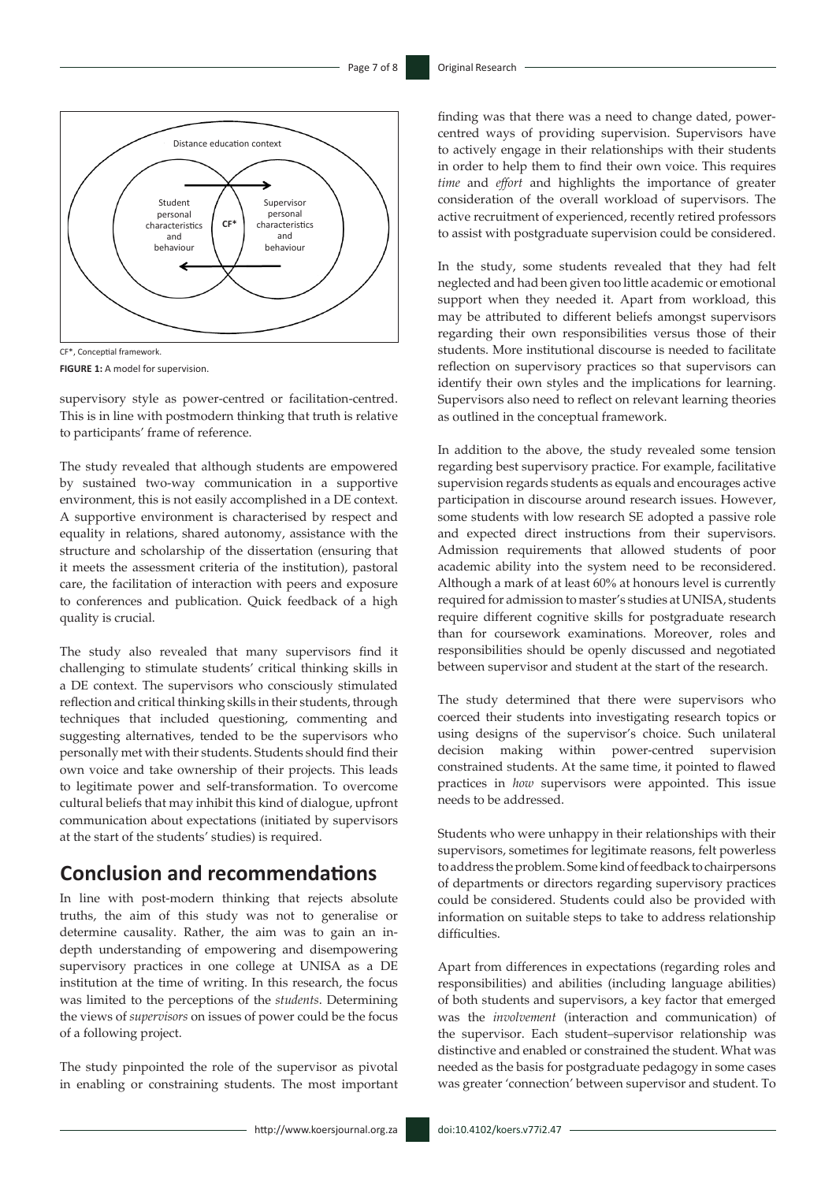

CF\*, Conceptial framework.

**FIGURE 1:** A model for supervision.

supervisory style as power-centred or facilitation-centred. This is in line with postmodern thinking that truth is relative to participants' frame of reference.

The study revealed that although students are empowered by sustained two-way communication in a supportive environment, this is not easily accomplished in a DE context. A supportive environment is characterised by respect and equality in relations, shared autonomy, assistance with the structure and scholarship of the dissertation (ensuring that it meets the assessment criteria of the institution), pastoral care, the facilitation of interaction with peers and exposure to conferences and publication. Quick feedback of a high quality is crucial.

The study also revealed that many supervisors find it challenging to stimulate students' critical thinking skills in a DE context. The supervisors who consciously stimulated reflection and critical thinking skills in their students, through techniques that included questioning, commenting and suggesting alternatives, tended to be the supervisors who personally met with their students. Students should find their own voice and take ownership of their projects. This leads to legitimate power and self-transformation. To overcome cultural beliefs that may inhibit this kind of dialogue, upfront communication about expectations (initiated by supervisors at the start of the students' studies) is required.

# **Conclusion and recommendations**

In line with post-modern thinking that rejects absolute truths, the aim of this study was not to generalise or determine causality. Rather, the aim was to gain an indepth understanding of empowering and disempowering supervisory practices in one college at UNISA as a DE institution at the time of writing. In this research, the focus was limited to the perceptions of the *students*. Determining the views of *supervisors* on issues of power could be the focus of a following project.

The study pinpointed the role of the supervisor as pivotal in enabling or constraining students. The most important finding was that there was a need to change dated, powercentred ways of providing supervision. Supervisors have to actively engage in their relationships with their students in order to help them to find their own voice. This requires *time* and *effort* and highlights the importance of greater consideration of the overall workload of supervisors. The active recruitment of experienced, recently retired professors to assist with postgraduate supervision could be considered.

In the study, some students revealed that they had felt neglected and had been given too little academic or emotional support when they needed it. Apart from workload, this may be attributed to different beliefs amongst supervisors regarding their own responsibilities versus those of their students. More institutional discourse is needed to facilitate reflection on supervisory practices so that supervisors can identify their own styles and the implications for learning. Supervisors also need to reflect on relevant learning theories as outlined in the conceptual framework.

In addition to the above, the study revealed some tension regarding best supervisory practice. For example, facilitative supervision regards students as equals and encourages active participation in discourse around research issues. However, some students with low research SE adopted a passive role and expected direct instructions from their supervisors. Admission requirements that allowed students of poor academic ability into the system need to be reconsidered. Although a mark of at least 60% at honours level is currently required for admission to master's studies at UNISA, students require different cognitive skills for postgraduate research than for coursework examinations. Moreover, roles and responsibilities should be openly discussed and negotiated between supervisor and student at the start of the research.

The study determined that there were supervisors who coerced their students into investigating research topics or using designs of the supervisor's choice. Such unilateral decision making within power-centred supervision constrained students. At the same time, it pointed to flawed practices in *how* supervisors were appointed. This issue needs to be addressed.

Students who were unhappy in their relationships with their supervisors, sometimes for legitimate reasons, felt powerless to address the problem. Some kind of feedback to chairpersons of departments or directors regarding supervisory practices could be considered. Students could also be provided with information on suitable steps to take to address relationship difficulties.

Apart from differences in expectations (regarding roles and responsibilities) and abilities (including language abilities) of both students and supervisors, a key factor that emerged was the *involvement* (interaction and communication) of the supervisor. Each student–supervisor relationship was distinctive and enabled or constrained the student. What was needed as the basis for postgraduate pedagogy in some cases was greater 'connection' between supervisor and student. To